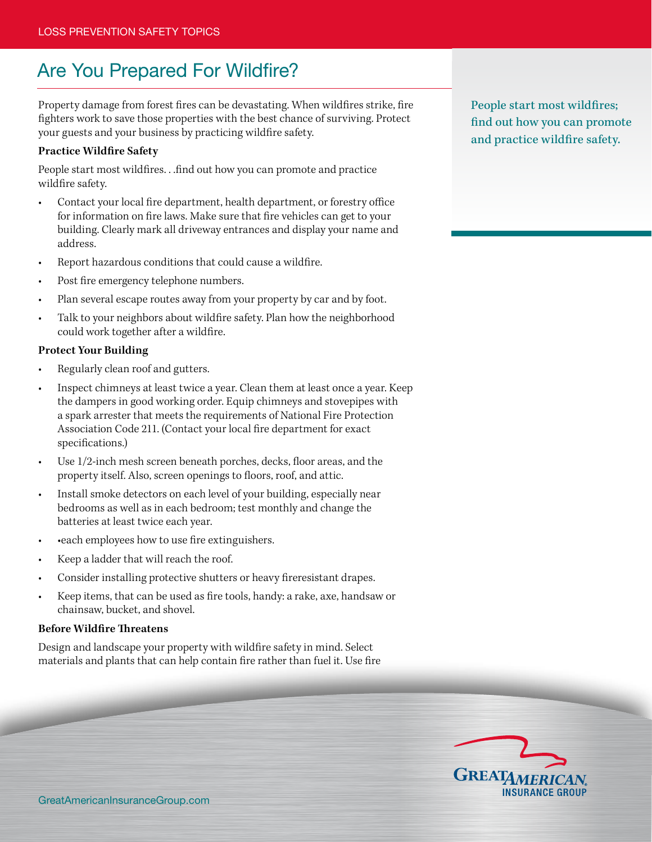# Are You Prepared For Wildfire?

Property damage from forest fires can be devastating. When wildfires strike, fire fighters work to save those properties with the best chance of surviving. Protect your guests and your business by practicing wildfire safety.

#### **Practice Wildfire Safety**

People start most wildfires. . .find out how you can promote and practice wildfire safety.

- Contact your local fire department, health department, or forestry office for information on fire laws. Make sure that fire vehicles can get to your building. Clearly mark all driveway entrances and display your name and address.
- Report hazardous conditions that could cause a wildfire.
- Post fire emergency telephone numbers.
- Plan several escape routes away from your property by car and by foot.
- Talk to your neighbors about wildfire safety. Plan how the neighborhood could work together after a wildfire.

#### **Protect Your Building**

- Regularly clean roof and gutters.
- Inspect chimneys at least twice a year. Clean them at least once a year. Keep the dampers in good working order. Equip chimneys and stovepipes with a spark arrester that meets the requirements of National Fire Protection Association Code 211. (Contact your local fire department for exact specifications.)
- Use 1/2-inch mesh screen beneath porches, decks, floor areas, and the property itself. Also, screen openings to floors, roof, and attic.
- Install smoke detectors on each level of your building, especially near bedrooms as well as in each bedroom; test monthly and change the batteries at least twice each year.
- each employees how to use fire extinguishers.
- Keep a ladder that will reach the roof.
- Consider installing protective shutters or heavy fireresistant drapes.
- Keep items, that can be used as fire tools, handy: a rake, axe, handsaw or chainsaw, bucket, and shovel.

## **Before Wildfire Threatens**

Design and landscape your property with wildfire safety in mind. Select materials and plants that can help contain fire rather than fuel it. Use fire People start most wildfires; find out how you can promote and practice wildfire safety.

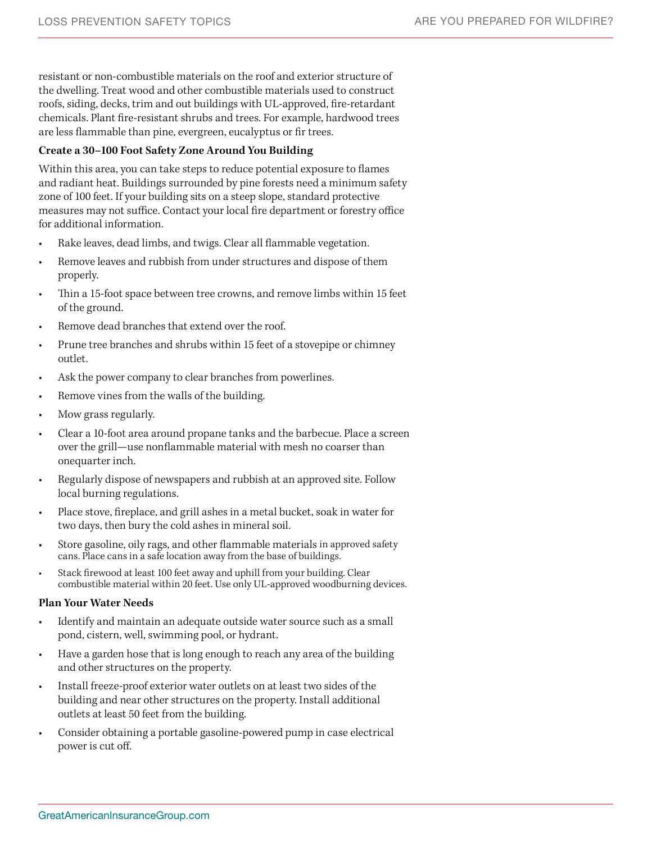resistant or non-combustible materials on the roof and exterior structure of the dwelling. Treat wood and other combustible materials used to construct roofs, siding, decks, trim and out buildings with UL-approved, fire-retardant chemicals. Plant fire-resistant shrubs and trees. For example, hardwood trees are less flammable than pine, evergreen, eucalyptus or fir trees.

# **Create a 30–100 Foot Safety Zone Around You Building**

Within this area, you can take steps to reduce potential exposure to flames and radiant heat. Buildings surrounded by pine forests need a minimum safety zone of 100 feet. If your building sits on a steep slope, standard protective measures may not suffice. Contact your local fire department or forestry office for additional information.

- Rake leaves, dead limbs, and twigs. Clear all flammable vegetation.
- Remove leaves and rubbish from under structures and dispose of them properly.
- Thin a 15-foot space between tree crowns, and remove limbs within 15 feet of the ground.
- Remove dead branches that extend over the roof.
- Prune tree branches and shrubs within 15 feet of a stovepipe or chimney outlet.
- Ask the power company to clear branches from powerlines.
- Remove vines from the walls of the building.
- Mow grass regularly.
- Clear a 10-foot area around propane tanks and the barbecue. Place a screen over the grill—use nonflammable material with mesh no coarser than onequarter inch.
- Regularly dispose of newspapers and rubbish at an approved site. Follow local burning regulations.
- Place stove, fireplace, and grill ashes in a metal bucket, soak in water for two days, then bury the cold ashes in mineral soil.
- Store gasoline, oily rags, and other flammable materials in approved safety cans. Place cans in a safe location away from the base of buildings.
- Stack firewood at least 100 feet away and uphill from your building. Clear combustible material within 20 feet. Use only UL-approved woodburning devices.

## **Plan Your Water Needs**

- Identify and maintain an adequate outside water source such as a small pond, cistern, well, swimming pool, or hydrant.
- Have a garden hose that is long enough to reach any area of the building and other structures on the property.
- Install freeze-proof exterior water outlets on at least two sides of the building and near other structures on the property. Install additional outlets at least 50 feet from the building.
- Consider obtaining a portable gasoline-powered pump in case electrical power is cut off.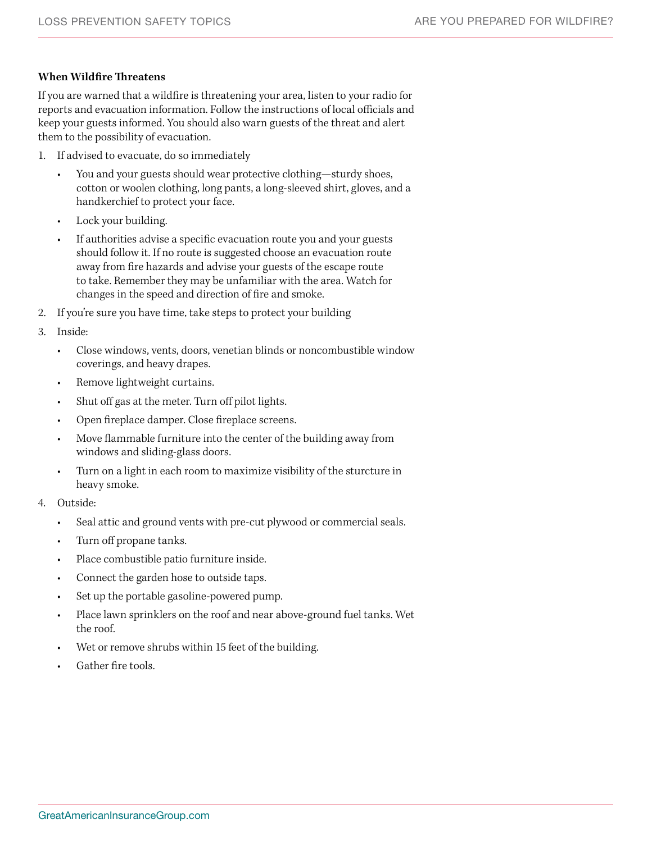# **When Wildfire Threatens**

If you are warned that a wildfire is threatening your area, listen to your radio for reports and evacuation information. Follow the instructions of local officials and keep your guests informed. You should also warn guests of the threat and alert them to the possibility of evacuation.

- 1. If advised to evacuate, do so immediately
	- You and your guests should wear protective clothing—sturdy shoes, cotton or woolen clothing, long pants, a long-sleeved shirt, gloves, and a handkerchief to protect your face.
	- Lock your building.
	- If authorities advise a specific evacuation route you and your guests should follow it. If no route is suggested choose an evacuation route away from fire hazards and advise your guests of the escape route to take. Remember they may be unfamiliar with the area. Watch for changes in the speed and direction of fire and smoke.
- 2. If you're sure you have time, take steps to protect your building
- 3. Inside:
	- Close windows, vents, doors, venetian blinds or noncombustible window coverings, and heavy drapes.
	- Remove lightweight curtains.
	- Shut off gas at the meter. Turn off pilot lights.
	- Open fireplace damper. Close fireplace screens.
	- Move flammable furniture into the center of the building away from windows and sliding-glass doors.
	- Turn on a light in each room to maximize visibility of the sturcture in heavy smoke.
- 4. Outside:
	- Seal attic and ground vents with pre-cut plywood or commercial seals.
	- Turn off propane tanks.
	- Place combustible patio furniture inside.
	- Connect the garden hose to outside taps.
	- Set up the portable gasoline-powered pump.
	- Place lawn sprinklers on the roof and near above-ground fuel tanks. Wet the roof.
	- Wet or remove shrubs within 15 feet of the building.
	- Gather fire tools.